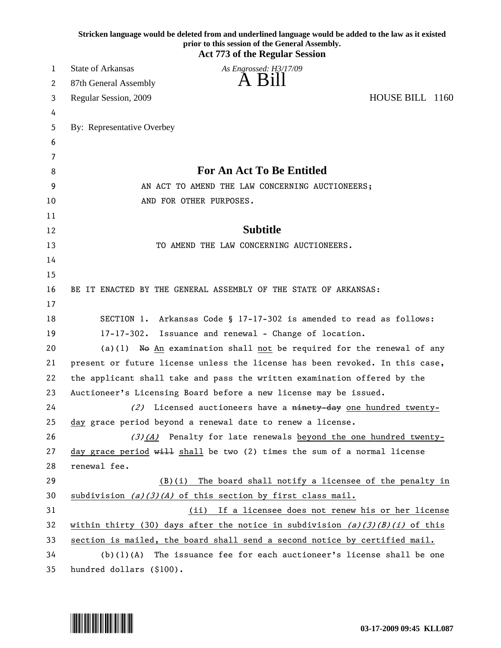|    | Stricken language would be deleted from and underlined language would be added to the law as it existed<br>prior to this session of the General Assembly.<br><b>Act 773 of the Regular Session</b> |
|----|----------------------------------------------------------------------------------------------------------------------------------------------------------------------------------------------------|
| 1  | State of Arkansas<br>As Engrossed: H3/17/09                                                                                                                                                        |
| 2  | A Bill<br>87th General Assembly                                                                                                                                                                    |
| 3  | HOUSE BILL 1160<br>Regular Session, 2009                                                                                                                                                           |
| 4  |                                                                                                                                                                                                    |
| 5  | By: Representative Overbey                                                                                                                                                                         |
| 6  |                                                                                                                                                                                                    |
| 7  |                                                                                                                                                                                                    |
| 8  | <b>For An Act To Be Entitled</b>                                                                                                                                                                   |
| 9  | AN ACT TO AMEND THE LAW CONCERNING AUCTIONEERS;                                                                                                                                                    |
| 10 | AND FOR OTHER PURPOSES.                                                                                                                                                                            |
| 11 |                                                                                                                                                                                                    |
| 12 | <b>Subtitle</b>                                                                                                                                                                                    |
| 13 | TO AMEND THE LAW CONCERNING AUCTIONEERS.                                                                                                                                                           |
| 14 |                                                                                                                                                                                                    |
| 15 |                                                                                                                                                                                                    |
| 16 | BE IT ENACTED BY THE GENERAL ASSEMBLY OF THE STATE OF ARKANSAS:                                                                                                                                    |
| 17 |                                                                                                                                                                                                    |
| 18 | SECTION 1. Arkansas Code § 17-17-302 is amended to read as follows:                                                                                                                                |
| 19 | $17 - 17 - 302$ .<br>Issuance and renewal - Change of location.                                                                                                                                    |
| 20 | (a)(1) No $An$ examination shall not be required for the renewal of any                                                                                                                            |
| 21 | present or future license unless the license has been revoked. In this case,                                                                                                                       |
| 22 | the applicant shall take and pass the written examination offered by the                                                                                                                           |
| 23 | Auctioneer's Licensing Board before a new license may be issued.                                                                                                                                   |
| 24 | (2) Licensed auctioneers have a ninety-day one hundred twenty-                                                                                                                                     |
| 25 | day grace period beyond a renewal date to renew a license.                                                                                                                                         |
| 26 | $(3)(4)$ Penalty for late renewals beyond the one hundred twenty-                                                                                                                                  |
| 27 | day grace period $w_i$ . Shall be two (2) times the sum of a normal license                                                                                                                        |
| 28 | renewal fee.                                                                                                                                                                                       |
| 29 | $(B)(i)$ The board shall notify a licensee of the penalty in                                                                                                                                       |
| 30 | subdivision $(a)(3)(A)$ of this section by first class mail.                                                                                                                                       |
| 31 | (ii) If a licensee does not renew his or her license                                                                                                                                               |
| 32 | within thirty (30) days after the notice in subdivision $(a)(3)(B)(i)$ of this                                                                                                                     |
| 33 | section is mailed, the board shall send a second notice by certified mail.                                                                                                                         |
| 34 | (b) (1) (A)<br>The issuance fee for each auctioneer's license shall be one                                                                                                                         |
| 35 | hundred dollars (\$100).                                                                                                                                                                           |

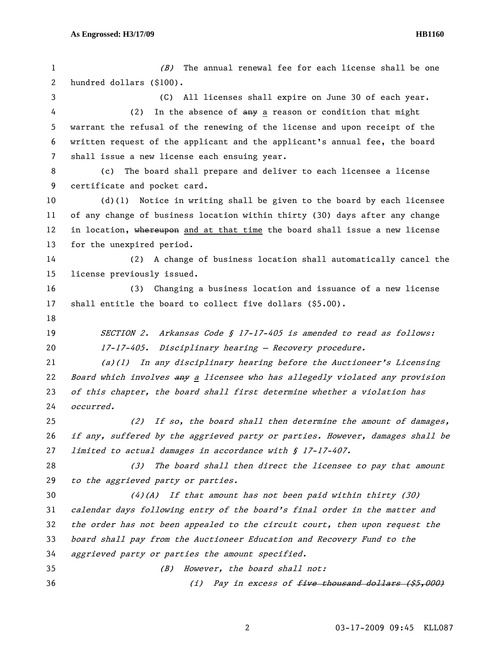| 1  | The annual renewal fee for each license shall be one<br>(B)                   |
|----|-------------------------------------------------------------------------------|
| 2  | hundred dollars (\$100).                                                      |
| 3  | All licenses shall expire on June 30 of each year.<br>(C)                     |
| 4  | (2)<br>In the absence of any a reason or condition that might                 |
| 5  | warrant the refusal of the renewing of the license and upon receipt of the    |
| 6  | written request of the applicant and the applicant's annual fee, the board    |
| 7  | shall issue a new license each ensuing year.                                  |
| 8  | The board shall prepare and deliver to each licensee a license<br>(c)         |
| 9  | certificate and pocket card.                                                  |
| 10 | Notice in writing shall be given to the board by each licensee<br>$(d)$ (1)   |
| 11 | of any change of business location within thirty (30) days after any change   |
| 12 | in location, whereupon and at that time the board shall issue a new license   |
| 13 | for the unexpired period.                                                     |
| 14 | (2) A change of business location shall automatically cancel the              |
| 15 | license previously issued.                                                    |
| 16 | Changing a business location and issuance of a new license<br>(3)             |
| 17 | shall entitle the board to collect five dollars (\$5.00).                     |
| 18 |                                                                               |
| 19 | <i>SECTION 2.</i><br>Arkansas Code § 17-17-405 is amended to read as follows: |
| 20 | 17-17-405. Disciplinary hearing - Recovery procedure.                         |
| 21 | $(a)(1)$ In any disciplinary hearing before the Auctioneer's Licensing        |
| 22 | Board which involves any a licensee who has allegedly violated any provision  |
| 23 | of this chapter, the board shall first determine whether a violation has      |
| 24 | occurred.                                                                     |
| 25 | (2) If so, the board shall then determine the amount of damages,              |
| 26 | if any, suffered by the aggrieved party or parties. However, damages shall be |
| 27 | limited to actual damages in accordance with § 17-17-407.                     |
| 28 | The board shall then direct the licensee to pay that amount<br>(3)            |
| 29 | to the aggrieved party or parties.                                            |
| 30 | If that amount has not been paid within thirty (30)<br>$(4)$ (A)              |
| 31 | calendar days following entry of the board's final order in the matter and    |
| 32 | the order has not been appealed to the circuit court, then upon request the   |
| 33 | board shall pay from the Auctioneer Education and Recovery Fund to the        |
| 34 | aggrieved party or parties the amount specified.                              |
| 35 | However, the board shall not:<br>(B)                                          |
| 36 | Pay in excess of <del>five thousand dollars (\$5,000)</del><br>(i)            |